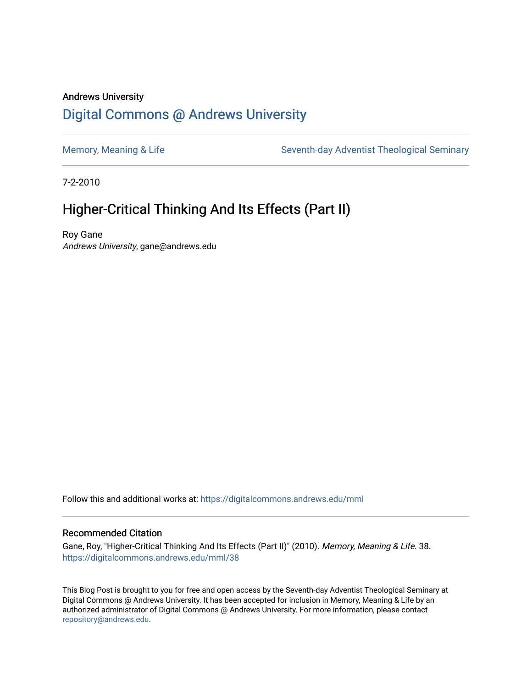#### Andrews University [Digital Commons @ Andrews University](https://digitalcommons.andrews.edu/)

[Memory, Meaning & Life](https://digitalcommons.andrews.edu/mml) Seventh-day Adventist Theological Seminary

7-2-2010

### Higher-Critical Thinking And Its Effects (Part II)

Roy Gane Andrews University, gane@andrews.edu

Follow this and additional works at: [https://digitalcommons.andrews.edu/mml](https://digitalcommons.andrews.edu/mml?utm_source=digitalcommons.andrews.edu%2Fmml%2F38&utm_medium=PDF&utm_campaign=PDFCoverPages) 

#### Recommended Citation

Gane, Roy, "Higher-Critical Thinking And Its Effects (Part II)" (2010). Memory, Meaning & Life. 38. [https://digitalcommons.andrews.edu/mml/38](https://digitalcommons.andrews.edu/mml/38?utm_source=digitalcommons.andrews.edu%2Fmml%2F38&utm_medium=PDF&utm_campaign=PDFCoverPages)

This Blog Post is brought to you for free and open access by the Seventh-day Adventist Theological Seminary at Digital Commons @ Andrews University. It has been accepted for inclusion in Memory, Meaning & Life by an authorized administrator of Digital Commons @ Andrews University. For more information, please contact [repository@andrews.edu](mailto:repository@andrews.edu).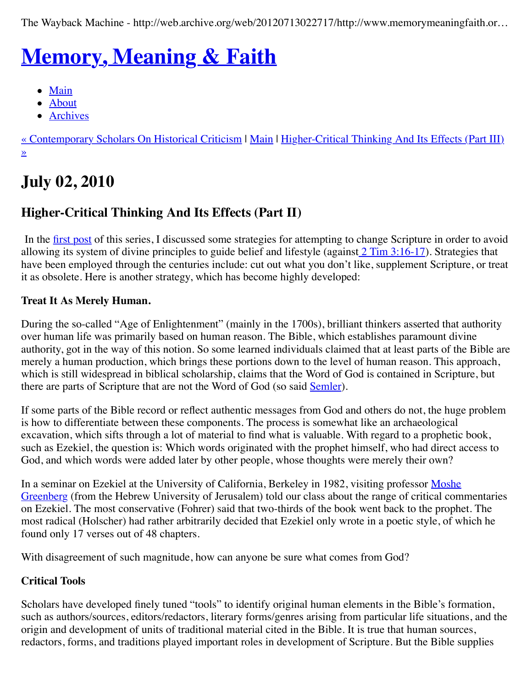The Wayback Machine - http://web.archive.org/web/20120713022717/http://www.memorymeaningfaith.or…

# **[Memory, Meaning & Faith](http://web.archive.org/web/20120713022717/http://www.memorymeaningfaith.org/blog/)**

- [Main](http://web.archive.org/web/20120713022717/http://www.memorymeaningfaith.org/blog)
- [About](http://web.archive.org/web/20120713022717/http://www.memorymeaningfaith.org/blog/about.html)
- [Archives](http://web.archive.org/web/20120713022717/http://www.memorymeaningfaith.org/blog/archives.html)

[« Contemporary Scholars On Historical Criticism](http://web.archive.org/web/20120713022717/http://www.memorymeaningfaith.org/blog/2010/06/contemporary-scholars-on-historical-criticism.html) [| M](http://web.archive.org/web/20120713022717/http://www.memorymeaningfaith.org/blog/2010/07/highercritical-thinking-part-iii.html)[ain](http://web.archive.org/web/20120713022717/http://www.memorymeaningfaith.org/blog/) | Higher-Critical Thinking And Its Effects (Part III)  $\overline{\mathbf{v}}$ 

# **July 02, 2010**

### **Higher-Critical Thinking And Its Effects (Part II)**

In the <u>first post</u> of this series, I discussed some strategies for attempting to change Scripture in order to avoid allowing its system of divine principles to guide belief and lifestyle (against  $2$  Tim  $3:16-17$ ). Strategies that have been employed through the centuries include: cut out what you don't like, supplement Scripture, or treat it as obsolete. Here is another strategy, which has become highly developed:

#### **Treat It As Merely Human.**

During the so-called "Age of Enlightenment" (mainly in the 1700s), brilliant thinkers asserted that authority over human life was primarily based on human reason. The Bible, which establishes paramount divine authority, got in the way of this notion. So some learned individuals claimed that at least parts of the Bible are merely a human production, which brings these portions down to the level of human reason. This approach, which is still widespread in biblical scholarship, claims that the Word of God is contained in Scripture, but there are parts of Scripture that are not the Word of God (so said [Semler](http://web.archive.org/web/20120713022717/http://en.wikipedia.org/wiki/Johann_Salomo_Semler#Classification)).

If some parts of the Bible record or reflect authentic messages from God and others do not, the huge problem is how to differentiate between these components. The process is somewhat like an archaeological excavation, which sifts through a lot of material to find what is valuable. With regard to a prophetic book, such as Ezekiel, the question is: Which words originated with the prophet himself, who had direct access to God, and which words were added later by other people, whose thoughts were merely their own?

[In a seminar on Ezekiel at the University of California, Berkeley in 1982, visiting professor Moshe](http://web.archive.org/web/20120713022717/http://en.wikipedia.org/wiki/Moshe_Greenberg) Greenberg (from the Hebrew University of Jerusalem) told our class about the range of critical commentaries on Ezekiel. The most conservative (Fohrer) said that two-thirds of the book went back to the prophet. The most radical (Holscher) had rather arbitrarily decided that Ezekiel only wrote in a poetic style, of which he found only 17 verses out of 48 chapters.

With disagreement of such magnitude, how can anyone be sure what comes from God?

#### **Critical Tools**

Scholars have developed finely tuned "tools" to identify original human elements in the Bible's formation, such as authors/sources, editors/redactors, literary forms/genres arising from particular life situations, and the origin and development of units of traditional material cited in the Bible. It is true that human sources, redactors, forms, and traditions played important roles in development of Scripture. But the Bible supplies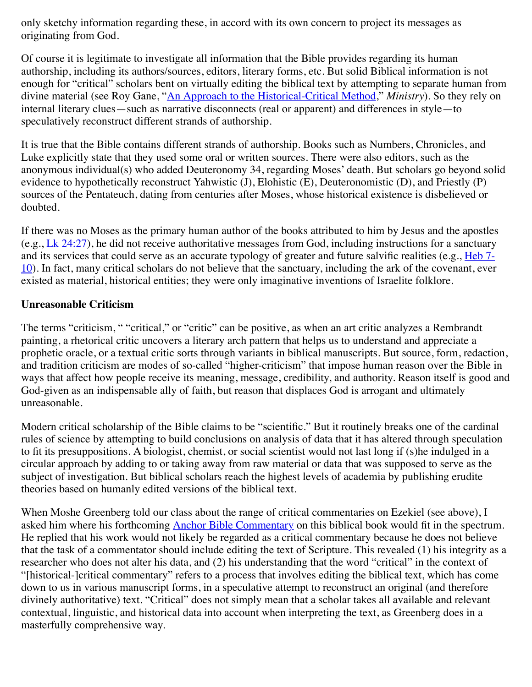only sketchy information regarding these, in accord with its own concern to project its messages as originating from God.

Of course it is legitimate to investigate all information that the Bible provides regarding its human authorship, including its authors/sources, editors, literary forms, etc. But solid Biblical information is not enough for "critical" scholars bent on virtually editing the biblical text by attempting to separate human from divine material (see Roy Gane, ["An Approach to the Historical-Critical Method,](http://web.archive.org/web/20120713022717/http://www.ministrymagazine.org/archive/1999/March/an-approach-to-the-historical-critical-method)" *Ministry*). So they rely on internal literary clues—such as narrative disconnects (real or apparent) and differences in style—to speculatively reconstruct different strands of authorship.

It is true that the Bible contains different strands of authorship. Books such as Numbers, Chronicles, and Luke explicitly state that they used some oral or written sources. There were also editors, such as the anonymous individual(s) who added Deuteronomy 34, regarding Moses' death. But scholars go beyond solid evidence to hypothetically reconstruct Yahwistic (J), Elohistic (E), Deuteronomistic (D), and Priestly (P) sources of the Pentateuch, dating from centuries after Moses, whose historical existence is disbelieved or doubted.

If there was no Moses as the primary human author of the books attributed to him by Jesus and the apostles (e.g.,  $\underline{\text{Lk } 24:27}$ ), he did not receive authoritative messages from God, including instructions for a sanctuary and its services that could serve as an accurate typology of greater and future salvific realities (e.g., Heb 7-[10\). In fact, many critical scholars do not believe that the sanctuary, including the ark of the covenant, ever](http://web.archive.org/web/20120713022717/http://www.biblestudytools.com/nrs/hebrews/passage.aspx?q=Hebrews+7;Hebrews+8;Hebrews+9;Hebrews+10) existed as material, historical entities; they were only imaginative inventions of Israelite folklore.

#### **Unreasonable Criticism**

The terms "criticism, " "critical," or "critic" can be positive, as when an art critic analyzes a Rembrandt painting, a rhetorical critic uncovers a literary arch pattern that helps us to understand and appreciate a prophetic oracle, or a textual critic sorts through variants in biblical manuscripts. But source, form, redaction, and tradition criticism are modes of so-called "higher-criticism" that impose human reason over the Bible in ways that affect how people receive its meaning, message, credibility, and authority. Reason itself is good and God-given as an indispensable ally of faith, but reason that displaces God is arrogant and ultimately unreasonable.

Modern critical scholarship of the Bible claims to be "scientific." But it routinely breaks one of the cardinal rules of science by attempting to build conclusions on analysis of data that it has altered through speculation to fit its presuppositions. A biologist, chemist, or social scientist would not last long if (s)he indulged in a circular approach by adding to or taking away from raw material or data that was supposed to serve as the subject of investigation. But biblical scholars reach the highest levels of academia by publishing erudite theories based on humanly edited versions of the biblical text.

When Moshe Greenberg told our class about the range of critical commentaries on Ezekiel (see above), I asked him where his forthcoming [Anchor Bible Commentary](http://web.archive.org/web/20120713022717/http://www.amazon.com/Ezekiel-1-20-Translation-Introduction-Commentary/dp/0385009542) on this biblical book would fit in the spectrum. He replied that his work would not likely be regarded as a critical commentary because he does not believe that the task of a commentator should include editing the text of Scripture. This revealed (1) his integrity as a researcher who does not alter his data, and (2) his understanding that the word "critical" in the context of "[historical-]critical commentary" refers to a process that involves editing the biblical text, which has come down to us in various manuscript forms, in a speculative attempt to reconstruct an original (and therefore divinely authoritative) text. "Critical" does not simply mean that a scholar takes all available and relevant contextual, linguistic, and historical data into account when interpreting the text, as Greenberg does in a masterfully comprehensive way.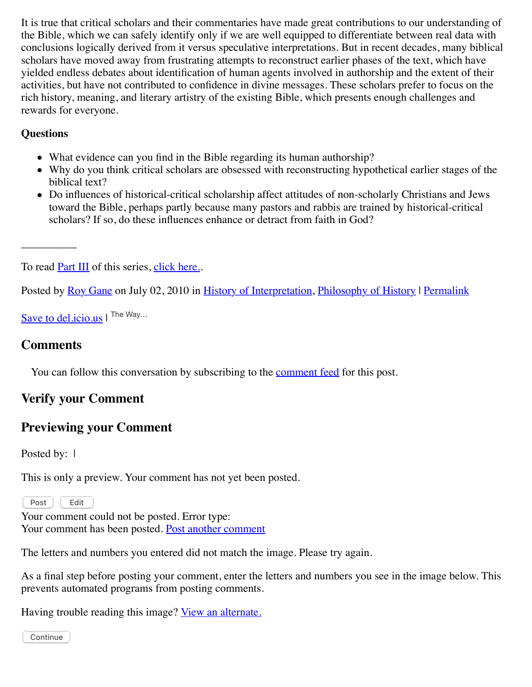It is true that critical scholars and their commentaries have made great contributions to our understanding of the Bible, which we can safely identify only if we are well equipped to differentiate between real data with conclusions logically derived from it versus speculative interpretations. But in recent decades, many biblical scholars have moved away from frustrating attempts to reconstruct earlier phases of the text, which have yielded endless debates about identification of human agents involved in authorship and the extent of their activities, but have not contributed to confidence in divine messages. These scholars prefer to focus on the rich history, meaning, and literary artistry of the existing Bible, which presents enough challenges and rewards for everyone.

#### **Questions**

- What evidence can you find in the Bible regarding its human authorship?
- Why do you think critical scholars are obsessed with reconstructing hypothetical earlier stages of the biblical text?
- Do influences of historical-critical scholarship affect attitudes of non-scholarly Christians and Jews toward the Bible, perhaps partly because many pastors and rabbis are trained by historical-critical scholars? If so, do these influences enhance or detract from faith in God?

To read **Part III** of this series, [click here.](http://web.archive.org/web/20120713022717/http://www.memorymeaningfaith.org/blog/2010/07/highercritical-thinking-part-iii.html)..

Posted by [Roy Gane](http://web.archive.org/web/20120713022717/http://profile.typepad.com/rgane) on July 02, 2010 in [History of Interpretation](http://web.archive.org/web/20120713022717/http://www.memorymeaningfaith.org/blog/history-of-interpretation/), [Philosophy of History](http://web.archive.org/web/20120713022717/http://www.memorymeaningfaith.org/blog/philosophy-of-history/) | [Permalink](http://web.archive.org/web/20120713022717/http://www.memorymeaningfaith.org/blog/2010/07/highercritical-thinking-part-ii.html)

[Save to del.icio.us](http://web.archive.org/web/20120713022717/http://del.icio.us/post) | The Way...

#### **Comments**

\_\_\_\_\_\_\_\_\_\_

You can follow this conversation by subscribing to the [comment feed](http://web.archive.org/web/20120713022717/http://www.memorymeaningfaith.org/blog/2010/07/highercritical-thinking-part-ii/comments/atom.xml) for this post.

#### **Verify your Comment**

#### **Previewing your Comment**

Posted by: 1

This is only a preview. Your comment has not yet been posted.

Post | Edit

Your comment could not be posted. Error type: Your comment has been posted. [Post another comment](javascript:void%200;)

<span id="page-3-0"></span>The letters and numbers you entered did not match the image. Please try again.

As a final step before posting your comment, enter the letters and numbers you see in the image below. This prevents automated programs from posting comments.

Having trouble reading this image? [View an alternate.](#page-3-0)

Continue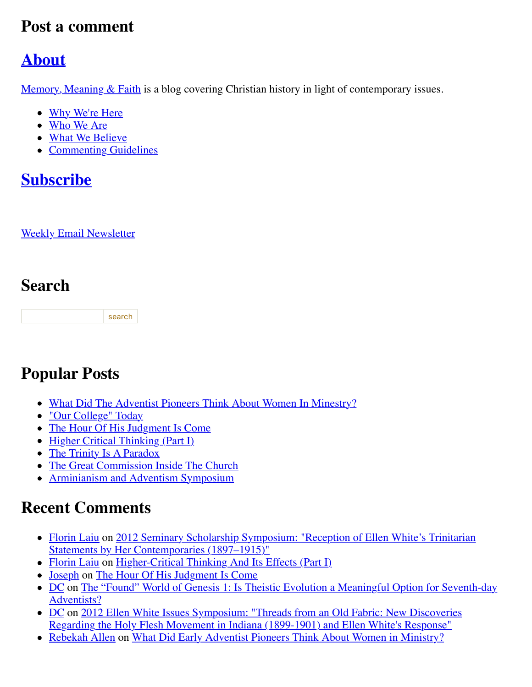### **Post a comment**

### **[About](http://web.archive.org/web/20120713022717/http://memorymeaningfaith.typepad.com/blog/about.html)**

[Memory, Meaning & Faith](http://web.archive.org/web/20120713022717/http://www.memorymeaningfaith.org/blog/about.html) is a blog covering Christian history in light of contemporary issues.

- [Why We're Here](http://web.archive.org/web/20120713022717/http://www.memorymeaningfaith.org/blog/why-were-here.html)
- [Who We Are](http://web.archive.org/web/20120713022717/http://www.memorymeaningfaith.org/blog/who-we-are.html)
- [What We Believe](http://web.archive.org/web/20120713022717/http://www.memorymeaningfaith.org/blog/what-we-believe.html)
- [Commenting Guidelines](http://web.archive.org/web/20120713022717/http://www.memorymeaningfaith.org/blog/commenting-guidelines.html)

### **[Subscribe](http://web.archive.org/web/20120713022717/http://www.memorymeaningfaith.org/blog/subscribe.html)**

**[Weekly Email Newsletter](http://web.archive.org/web/20120713022717/http://eepurl.com/im9P)** 

### **Search**

search

### **Popular Posts**

- [What Did The Adventist Pioneers Think About Women In Minestry?](http://web.archive.org/web/20120713022717/http://www.memorymeaningfaith.org/blog/2010/04/adventist-pioneers-women-ministry.html)
- ["Our College" Today](http://web.archive.org/web/20120713022717/http://www.memorymeaningfaith.org/blog/2010/06/our-college-today-.html)
- [The Hour Of His Judgment Is Come](http://web.archive.org/web/20120713022717/http://www.memorymeaningfaith.org/blog/2010/04/hour-judgment-is-come.html)
- $\bullet$  [Higher Critical Thinking \(Part I\)](http://web.archive.org/web/20120713022717/http://www.memorymeaningfaith.org/blog/2010/03/highercritical-thinking-part-i.html)
- [The Trinity Is A Paradox](http://web.archive.org/web/20120713022717/http://www.memorymeaningfaith.org/blog/2010/03/the-trinity-is-a-paradox.html)
- [The Great Commission Inside The Church](http://web.archive.org/web/20120713022717/http://www.memorymeaningfaith.org/blog/2010/04/the-great-comission-inside-the-church.html)
- [Arminianism and Adventism Symposium](http://web.archive.org/web/20120713022717/http://www.memorymeaningfaith.org/blog/arminianism-and-adventism-symposium/)

### **Recent Comments**

- [Florin Laiu on 2012 Seminary Scholarship Symposium: "Reception of Ellen White's Trinitarian](http://web.archive.org/web/20120713022717/http://www.memorymeaningfaith.org/blog/2012/02/2012-seminary-scholarship-symposium-.html) Statements by Her Contemporaries (1897–1915)"
- [Florin Laiu](http://web.archive.org/web/20120713022717/http://www.memorymeaningfaith.org/blog/2010/03/highercritical-thinking-part-i.html?cid=6a01287656f488970c017615d52191970c#comment-6a01287656f488970c017615d52191970c) on [Higher-Critical Thinking And Its Effects \(Part I\)](http://web.archive.org/web/20120713022717/http://www.memorymeaningfaith.org/blog/2010/03/highercritical-thinking-part-i.html)
- [Joseph](http://web.archive.org/web/20120713022717/http://www.memorymeaningfaith.org/blog/2010/04/hour-judgment-is-come.html?cid=6a01287656f488970c0176159b59aa970c#comment-6a01287656f488970c0176159b59aa970c) on [The Hour Of His Judgment Is Come](http://web.archive.org/web/20120713022717/http://www.memorymeaningfaith.org/blog/2010/04/hour-judgment-is-come.html)
- [D](http://web.archive.org/web/20120713022717/http://www.memorymeaningfaith.org/blog/2011/01/found-world-of-genesis-1-theistic-evolution-1.html?cid=6a01287656f488970c0163067e3d65970d#comment-6a01287656f488970c0163067e3d65970d)[C on The "Found" World of Genesis 1: Is Theistic Evolution a Meaningful Option for Seventh-day](http://web.archive.org/web/20120713022717/http://www.memorymeaningfaith.org/blog/2011/01/found-world-of-genesis-1-theistic-evolution-1.html) Adventists?
- [DC on 2012 Ellen White Issues Symposium: "Threads from an Old Fabric: New Discoveries](http://web.archive.org/web/20120713022717/http://www.memorymeaningfaith.org/blog/2012/04/2012-ellen-whites-issues-symposium-threads-from-an-old-fabric-holy-flesh-movement-indiana.html) Regarding the Holy Flesh Movement in Indiana (1899-1901) and Ellen White's Response"
- [Rebekah Allen](http://web.archive.org/web/20120713022717/http://www.memorymeaningfaith.org/blog/2010/04/adventist-pioneers-women-ministry.html?cid=6a01287656f488970c0168eb2eb63d970c#comment-6a01287656f488970c0168eb2eb63d970c) on [What Did Early Adventist Pioneers Think About Women in Ministry?](http://web.archive.org/web/20120713022717/http://www.memorymeaningfaith.org/blog/2010/04/adventist-pioneers-women-ministry.html)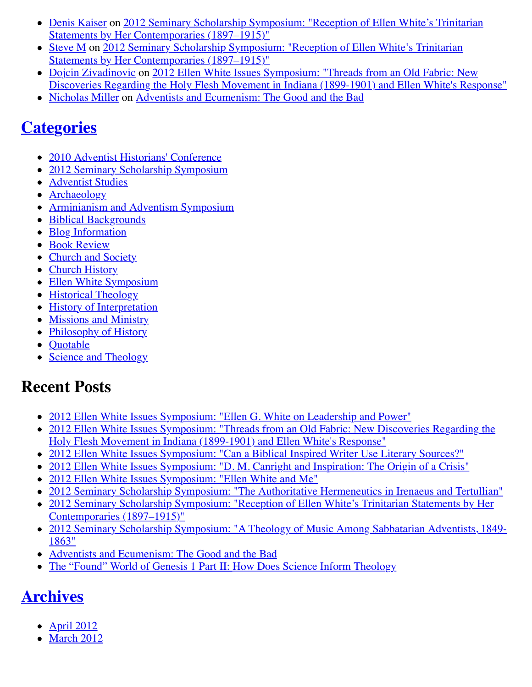- [Denis Kaiser on 2012 Seminary Scholarship Symposium: "Reception of Ellen White's Trinitarian](http://web.archive.org/web/20120713022717/http://www.memorymeaningfaith.org/blog/2012/02/2012-seminary-scholarship-symposium-.html) Statements by Her Contemporaries (1897–1915)"
- [Steve M on 2012 Seminary Scholarship Symposium: "Reception of Ellen White's Trinitarian](http://web.archive.org/web/20120713022717/http://www.memorymeaningfaith.org/blog/2012/02/2012-seminary-scholarship-symposium-.html) Statements by Her Contemporaries (1897–1915)"
- [Dojcin Zivadinovic](http://web.archive.org/web/20120713022717/http://www.memorymeaningfaith.org/blog/2012/04/2012-ellen-whites-issues-symposium-threads-from-an-old-fabric-holy-flesh-movement-indiana.html?cid=6a01287656f488970c0168ea439e71970c#comment-6a01287656f488970c0168ea439e71970c) on 2012 Ellen White Issues Symposium: "Threads from an Old Fabric: New [Discoveries Regarding the Holy Flesh Movement in Indiana \(1899-1901\) and Ellen White's Response"](http://web.archive.org/web/20120713022717/http://www.memorymeaningfaith.org/blog/2012/04/2012-ellen-whites-issues-symposium-threads-from-an-old-fabric-holy-flesh-movement-indiana.html)
- [Nicholas Miller](http://web.archive.org/web/20120713022717/http://www.memorymeaningfaith.org/blog/2012/02/adventists-and-ecumenism-the-good-and-the-bad.html?cid=6a01287656f488970c01676529bb76970b#comment-6a01287656f488970c01676529bb76970b) on [Adventists and Ecumenism: The Good and the Bad](http://web.archive.org/web/20120713022717/http://www.memorymeaningfaith.org/blog/2012/02/adventists-and-ecumenism-the-good-and-the-bad.html)

### **[Categories](http://web.archive.org/web/20120713022717/http://www.memorymeaningfaith.org/blog/archives.html)**

- [2010 Adventist Historians' Conference](http://web.archive.org/web/20120713022717/http://www.memorymeaningfaith.org/blog/2010-adventist-historians-conference/)
- [2012 Seminary Scholarship Symposium](http://web.archive.org/web/20120713022717/http://www.memorymeaningfaith.org/blog/2012-seminary-scholarship-symposium/)
- [Adventist Studies](http://web.archive.org/web/20120713022717/http://www.memorymeaningfaith.org/blog/adventist-studies/)
- [Archaeology](http://web.archive.org/web/20120713022717/http://www.memorymeaningfaith.org/blog/archaeology/)
- [Arminianism and Adventism Symposium](http://web.archive.org/web/20120713022717/http://www.memorymeaningfaith.org/blog/arminianism-and-adventism-symposium/)
- [Biblical Backgrounds](http://web.archive.org/web/20120713022717/http://www.memorymeaningfaith.org/blog/biblical-backgrounds/)
- [Blog Information](http://web.archive.org/web/20120713022717/http://www.memorymeaningfaith.org/blog/blog-info/)
- [Book Review](http://web.archive.org/web/20120713022717/http://www.memorymeaningfaith.org/blog/book-review/)
- [Church and Society](http://web.archive.org/web/20120713022717/http://www.memorymeaningfaith.org/blog/church-and-society/)
- [Church History](http://web.archive.org/web/20120713022717/http://www.memorymeaningfaith.org/blog/church-history/)
- [Ellen White Symposium](http://web.archive.org/web/20120713022717/http://www.memorymeaningfaith.org/blog/ellen-white-symposium/)
- [Historical Theology](http://web.archive.org/web/20120713022717/http://www.memorymeaningfaith.org/blog/theology/)
- [History of Interpretation](http://web.archive.org/web/20120713022717/http://www.memorymeaningfaith.org/blog/history-of-interpretation/)
- [Missions and Ministry](http://web.archive.org/web/20120713022717/http://www.memorymeaningfaith.org/blog/missions-and-ministry/)
- [Philosophy of History](http://web.archive.org/web/20120713022717/http://www.memorymeaningfaith.org/blog/philosophy-of-history/)
- Ouotable
- [Science and Theology](http://web.archive.org/web/20120713022717/http://www.memorymeaningfaith.org/blog/science-and-theology/)

### **Recent Posts**

- [2012 Ellen White Issues Symposium: "Ellen G. White on Leadership and Power"](http://web.archive.org/web/20120713022717/http://www.memorymeaningfaith.org/blog/2012/04/2012-ellen-whites-issues-symposium-white-on-leadership-and-power.html)
- [2012 Ellen White Issues Symposium: "Threads from an Old Fabric: New Discoveries Regarding the](http://web.archive.org/web/20120713022717/http://www.memorymeaningfaith.org/blog/2012/04/2012-ellen-whites-issues-symposium-threads-from-an-old-fabric-holy-flesh-movement-indiana.html) Holy Flesh Movement in Indiana (1899-1901) and Ellen White's Response"
- [2012 Ellen White Issues Symposium: "Can a Biblical Inspired Writer Use Literary Sources?"](http://web.archive.org/web/20120713022717/http://www.memorymeaningfaith.org/blog/2012/03/2012-ellen-whites-issues-symposium-inspired-writer-literary-sources.html)
- [2012 Ellen White Issues Symposium: "D. M. Canright and Inspiration: The Origin of a Crisis"](http://web.archive.org/web/20120713022717/http://www.memorymeaningfaith.org/blog/2012/03/2012-ellen-whites-issues-symposium-canright-ellen-white-inspiration-crisis.html)
- [2012 Ellen White Issues Symposium: "Ellen White and Me"](http://web.archive.org/web/20120713022717/http://www.memorymeaningfaith.org/blog/2012/03/2012-ellen-white-issues-symposium-ellen-white-and-me.html)
- [2012 Seminary Scholarship Symposium: "The Authoritative Hermeneutics in Irenaeus and Tertullian"](http://web.archive.org/web/20120713022717/http://www.memorymeaningfaith.org/blog/2012/03/2012-sss-authoritative-hermeneutics-in-irenaeus-and-tertullian.html)
- [2012 Seminary Scholarship Symposium: "Reception of Ellen White's Trinitarian Statements by Her](http://web.archive.org/web/20120713022717/http://www.memorymeaningfaith.org/blog/2012/02/2012-seminary-scholarship-symposium-.html) Contemporaries (1897–1915)"
- [2012 Seminary Scholarship Symposium: "A Theology of Music Among Sabbatarian Adventists, 1849-](http://web.archive.org/web/20120713022717/http://www.memorymeaningfaith.org/blog/2012/02/2012-sss-theology-of-music-sabbatarian-adventists-1849-1863.html) 1863"
- [Adventists and Ecumenism: The Good and the Bad](http://web.archive.org/web/20120713022717/http://www.memorymeaningfaith.org/blog/2012/02/adventists-and-ecumenism-the-good-and-the-bad.html)
- [The "Found" World of Genesis 1 Part II: How Does Science Inform Theology](http://web.archive.org/web/20120713022717/http://www.memorymeaningfaith.org/blog/2011/08/the-found-world-of-genesis-1-part-ii-science-informing-theology.html)

## **[Archives](http://web.archive.org/web/20120713022717/http://www.memorymeaningfaith.org/blog/archives.html)**

- $\bullet$  [April 2012](http://web.archive.org/web/20120713022717/http://www.memorymeaningfaith.org/blog/2012/04/index.html)
- $\bullet$  [March 2012](http://web.archive.org/web/20120713022717/http://www.memorymeaningfaith.org/blog/2012/03/index.html)